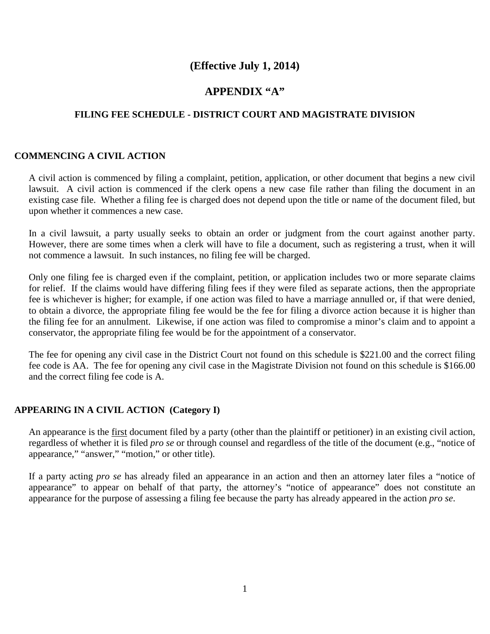# **(Effective July 1, 2014)**

## **APPENDIX "A"**

## **FILING FEE SCHEDULE - DISTRICT COURT AND MAGISTRATE DIVISION**

### **COMMENCING A CIVIL ACTION**

A civil action is commenced by filing a complaint, petition, application, or other document that begins a new civil lawsuit. A civil action is commenced if the clerk opens a new case file rather than filing the document in an existing case file. Whether a filing fee is charged does not depend upon the title or name of the document filed, but upon whether it commences a new case.

In a civil lawsuit, a party usually seeks to obtain an order or judgment from the court against another party. However, there are some times when a clerk will have to file a document, such as registering a trust, when it will not commence a lawsuit. In such instances, no filing fee will be charged.

Only one filing fee is charged even if the complaint, petition, or application includes two or more separate claims for relief. If the claims would have differing filing fees if they were filed as separate actions, then the appropriate fee is whichever is higher; for example, if one action was filed to have a marriage annulled or, if that were denied, to obtain a divorce, the appropriate filing fee would be the fee for filing a divorce action because it is higher than the filing fee for an annulment. Likewise, if one action was filed to compromise a minor's claim and to appoint a conservator, the appropriate filing fee would be for the appointment of a conservator.

The fee for opening any civil case in the District Court not found on this schedule is \$221.00 and the correct filing fee code is AA. The fee for opening any civil case in the Magistrate Division not found on this schedule is \$166.00 and the correct filing fee code is A.

### **APPEARING IN A CIVIL ACTION (Category I)**

An appearance is the first document filed by a party (other than the plaintiff or petitioner) in an existing civil action, regardless of whether it is filed *pro se* or through counsel and regardless of the title of the document (e.g., "notice of appearance," "answer," "motion," or other title).

If a party acting *pro se* has already filed an appearance in an action and then an attorney later files a "notice of appearance" to appear on behalf of that party, the attorney's "notice of appearance" does not constitute an appearance for the purpose of assessing a filing fee because the party has already appeared in the action *pro se*.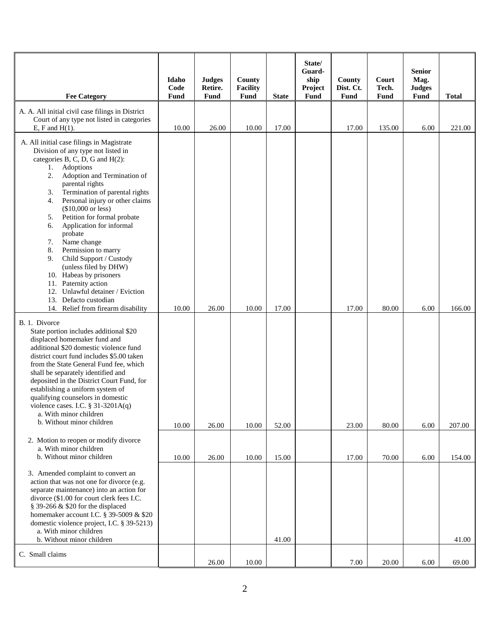| <b>Fee Category</b>                                                                                                                                                                                                                                                                                                                                                                                                                                                                                                                                                                                                                                       | Idaho<br>Code<br>Fund | <b>Judges</b><br>Retire.<br>Fund | County<br><b>Facility</b><br>Fund | <b>State</b> | State/<br>Guard-<br>ship<br>Project<br>Fund | County<br>Dist. Ct.<br>Fund | Court<br>Tech.<br>Fund | <b>Senior</b><br>Mag.<br><b>Judges</b><br>Fund | <b>Total</b> |
|-----------------------------------------------------------------------------------------------------------------------------------------------------------------------------------------------------------------------------------------------------------------------------------------------------------------------------------------------------------------------------------------------------------------------------------------------------------------------------------------------------------------------------------------------------------------------------------------------------------------------------------------------------------|-----------------------|----------------------------------|-----------------------------------|--------------|---------------------------------------------|-----------------------------|------------------------|------------------------------------------------|--------------|
| A. A. All initial civil case filings in District<br>Court of any type not listed in categories<br>$E$ , $F$ and $H(1)$ .                                                                                                                                                                                                                                                                                                                                                                                                                                                                                                                                  | 10.00                 | 26.00                            | 10.00                             | 17.00        |                                             | 17.00                       | 135.00                 | 6.00                                           | 221.00       |
| A. All initial case filings in Magistrate<br>Division of any type not listed in<br>categories B, C, D, G and H(2):<br>Adoptions<br>1.<br>Adoption and Termination of<br>2.<br>parental rights<br>Termination of parental rights<br>3.<br>Personal injury or other claims<br>4.<br>$($10,000$ or less)<br>Petition for formal probate<br>5.<br>Application for informal<br>6.<br>probate<br>Name change<br>7.<br>8.<br>Permission to marry<br>Child Support / Custody<br>9.<br>(unless filed by DHW)<br>10. Habeas by prisoners<br>11. Paternity action<br>12. Unlawful detainer / Eviction<br>13. Defacto custodian<br>14. Relief from firearm disability | 10.00                 | 26.00                            | 10.00                             | 17.00        |                                             | 17.00                       | 80.00                  | 6.00                                           | 166.00       |
| B. 1. Divorce<br>State portion includes additional \$20<br>displaced homemaker fund and<br>additional \$20 domestic violence fund<br>district court fund includes \$5.00 taken<br>from the State General Fund fee, which<br>shall be separately identified and<br>deposited in the District Court Fund, for<br>establishing a uniform system of<br>qualifying counselors in domestic<br>violence cases. I.C. § 31-3201A(q)<br>a. With minor children<br>b. Without minor children                                                                                                                                                                         | 10.00                 | 26.00                            | 10.00                             | 52.00        |                                             | 23.00                       | 80.00                  | 6.00                                           | 207.00       |
| 2. Motion to reopen or modify divorce<br>a. With minor children<br>b. Without minor children                                                                                                                                                                                                                                                                                                                                                                                                                                                                                                                                                              | 10.00                 | 26.00                            | 10.00                             | 15.00        |                                             | 17.00                       | 70.00                  | 6.00                                           | 154.00       |
| 3. Amended complaint to convert an<br>action that was not one for divorce (e.g.<br>separate maintenance) into an action for<br>divorce (\$1.00 for court clerk fees I.C.<br>§ 39-266 & \$20 for the displaced<br>homemaker account I.C. § 39-5009 & \$20<br>domestic violence project, I.C. § 39-5213)<br>a. With minor children<br>b. Without minor children                                                                                                                                                                                                                                                                                             |                       |                                  |                                   | 41.00        |                                             |                             |                        |                                                | 41.00        |
| C. Small claims                                                                                                                                                                                                                                                                                                                                                                                                                                                                                                                                                                                                                                           |                       | 26.00                            | 10.00                             |              |                                             | 7.00                        | 20.00                  | 6.00                                           | 69.00        |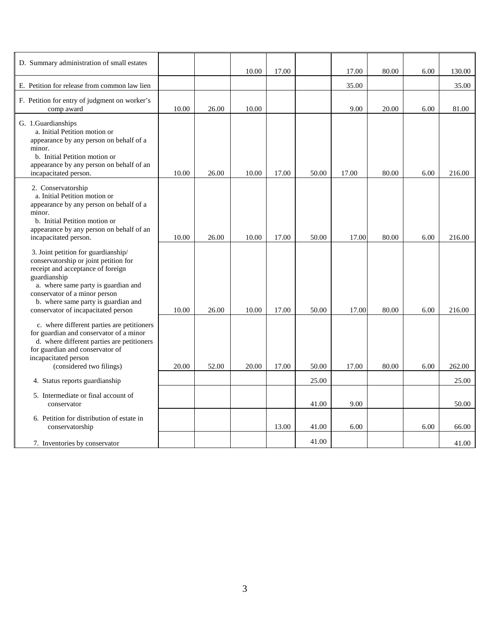| D. Summary administration of small estates                                                                                                                                                                                                                                              |       |       | 10.00 | 17.00 |       | 17.00 | 80.00 | 6.00 | 130.00 |
|-----------------------------------------------------------------------------------------------------------------------------------------------------------------------------------------------------------------------------------------------------------------------------------------|-------|-------|-------|-------|-------|-------|-------|------|--------|
| E. Petition for release from common law lien                                                                                                                                                                                                                                            |       |       |       |       |       | 35.00 |       |      | 35.00  |
| F. Petition for entry of judgment on worker's<br>comp award                                                                                                                                                                                                                             | 10.00 | 26.00 | 10.00 |       |       | 9.00  | 20.00 | 6.00 | 81.00  |
| G. 1.Guardianships<br>a. Initial Petition motion or<br>appearance by any person on behalf of a<br>minor.<br>b. Initial Petition motion or<br>appearance by any person on behalf of an<br>incapacitated person.                                                                          | 10.00 | 26.00 | 10.00 | 17.00 | 50.00 | 17.00 | 80.00 | 6.00 | 216.00 |
| 2. Conservatorship<br>a. Initial Petition motion or<br>appearance by any person on behalf of a<br>minor.<br>b. Initial Petition motion or<br>appearance by any person on behalf of an<br>incapacitated person.                                                                          | 10.00 | 26.00 | 10.00 | 17.00 | 50.00 | 17.00 | 80.00 | 6.00 | 216.00 |
| 3. Joint petition for guardianship/<br>conservatorship or joint petition for<br>receipt and acceptance of foreign<br>guardianship<br>a. where same party is guardian and<br>conservator of a minor person<br>b. where same party is guardian and<br>conservator of incapacitated person | 10.00 | 26.00 | 10.00 | 17.00 | 50.00 | 17.00 | 80.00 | 6.00 | 216.00 |
| c. where different parties are petitioners<br>for guardian and conservator of a minor<br>d. where different parties are petitioners<br>for guardian and conservator of<br>incapacitated person<br>(considered two filings)                                                              | 20.00 | 52.00 | 20.00 | 17.00 | 50.00 | 17.00 | 80.00 | 6.00 | 262.00 |
| 4. Status reports guardianship                                                                                                                                                                                                                                                          |       |       |       |       | 25.00 |       |       |      | 25.00  |
| 5. Intermediate or final account of<br>conservator                                                                                                                                                                                                                                      |       |       |       |       | 41.00 | 9.00  |       |      | 50.00  |
| 6. Petition for distribution of estate in<br>conservatorship                                                                                                                                                                                                                            |       |       |       | 13.00 | 41.00 | 6.00  |       | 6.00 | 66.00  |
| 7. Inventories by conservator                                                                                                                                                                                                                                                           |       |       |       |       | 41.00 |       |       |      | 41.00  |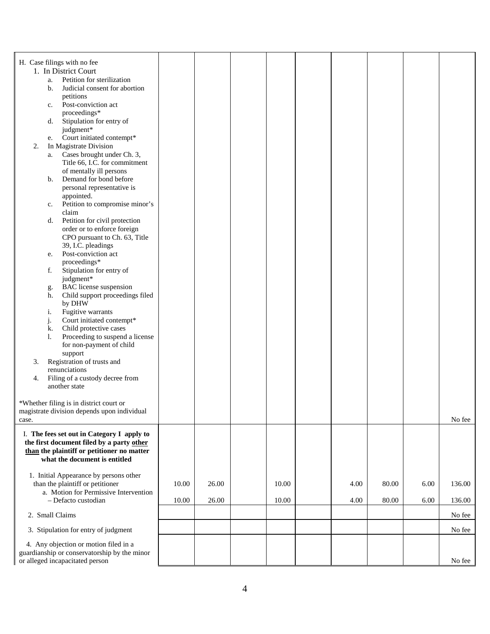| H. Case filings with no fee                                                             |       |       |       |      |       |      |        |
|-----------------------------------------------------------------------------------------|-------|-------|-------|------|-------|------|--------|
| 1. In District Court                                                                    |       |       |       |      |       |      |        |
| Petition for sterilization<br>a.                                                        |       |       |       |      |       |      |        |
| Judicial consent for abortion<br>b.                                                     |       |       |       |      |       |      |        |
| petitions<br>Post-conviction act                                                        |       |       |       |      |       |      |        |
| c.<br>proceedings*                                                                      |       |       |       |      |       |      |        |
| Stipulation for entry of<br>d.                                                          |       |       |       |      |       |      |        |
| judgment*                                                                               |       |       |       |      |       |      |        |
| Court initiated contempt*<br>e.                                                         |       |       |       |      |       |      |        |
| In Magistrate Division<br>2.<br>Cases brought under Ch. 3,                              |       |       |       |      |       |      |        |
| a.<br>Title 66, I.C. for commitment                                                     |       |       |       |      |       |      |        |
| of mentally ill persons                                                                 |       |       |       |      |       |      |        |
| Demand for bond before<br>b.                                                            |       |       |       |      |       |      |        |
| personal representative is                                                              |       |       |       |      |       |      |        |
| appointed.                                                                              |       |       |       |      |       |      |        |
| Petition to compromise minor's<br>c.<br>claim                                           |       |       |       |      |       |      |        |
| Petition for civil protection<br>d.                                                     |       |       |       |      |       |      |        |
| order or to enforce foreign                                                             |       |       |       |      |       |      |        |
| CPO pursuant to Ch. 63, Title                                                           |       |       |       |      |       |      |        |
| 39, I.C. pleadings                                                                      |       |       |       |      |       |      |        |
| Post-conviction act<br>e.<br>proceedings*                                               |       |       |       |      |       |      |        |
| Stipulation for entry of<br>f.                                                          |       |       |       |      |       |      |        |
| judgment*                                                                               |       |       |       |      |       |      |        |
| <b>BAC</b> license suspension<br>g.                                                     |       |       |       |      |       |      |        |
| Child support proceedings filed<br>h.                                                   |       |       |       |      |       |      |        |
| by DHW<br>Fugitive warrants<br>i.                                                       |       |       |       |      |       |      |        |
| j.<br>Court initiated contempt*                                                         |       |       |       |      |       |      |        |
| Child protective cases<br>k.                                                            |       |       |       |      |       |      |        |
| 1.<br>Proceeding to suspend a license                                                   |       |       |       |      |       |      |        |
| for non-payment of child                                                                |       |       |       |      |       |      |        |
| support<br>Registration of trusts and<br>3.                                             |       |       |       |      |       |      |        |
| renunciations                                                                           |       |       |       |      |       |      |        |
| Filing of a custody decree from<br>4.                                                   |       |       |       |      |       |      |        |
| another state                                                                           |       |       |       |      |       |      |        |
|                                                                                         |       |       |       |      |       |      |        |
| *Whether filing is in district court or<br>magistrate division depends upon individual  |       |       |       |      |       |      |        |
| case.                                                                                   |       |       |       |      |       |      | No fee |
|                                                                                         |       |       |       |      |       |      |        |
| I. The fees set out in Category I apply to<br>the first document filed by a party other |       |       |       |      |       |      |        |
| than the plaintiff or petitioner no matter                                              |       |       |       |      |       |      |        |
| what the document is entitled                                                           |       |       |       |      |       |      |        |
|                                                                                         |       |       |       |      |       |      |        |
| 1. Initial Appearance by persons other                                                  |       |       |       |      |       |      |        |
| than the plaintiff or petitioner<br>a. Motion for Permissive Intervention               | 10.00 | 26.00 | 10.00 | 4.00 | 80.00 | 6.00 | 136.00 |
| - Defacto custodian                                                                     | 10.00 | 26.00 | 10.00 | 4.00 | 80.00 | 6.00 | 136.00 |
| 2. Small Claims                                                                         |       |       |       |      |       |      | No fee |
|                                                                                         |       |       |       |      |       |      |        |
| 3. Stipulation for entry of judgment                                                    |       |       |       |      |       |      | No fee |
| 4. Any objection or motion filed in a<br>guardianship or conservatorship by the minor   |       |       |       |      |       |      |        |
| or alleged incapacitated person                                                         |       |       |       |      |       |      | No fee |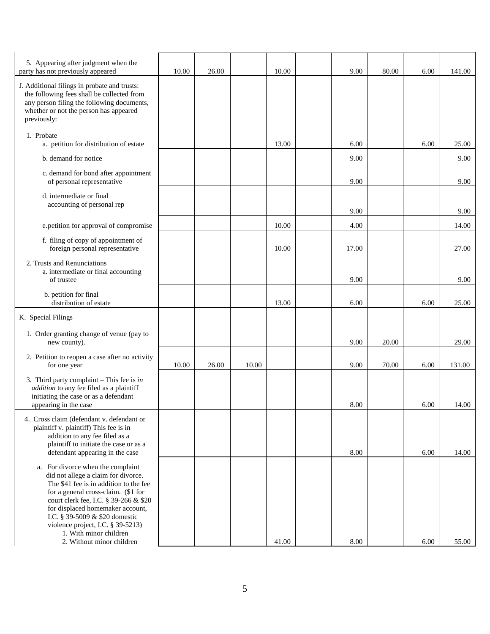| 5. Appearing after judgment when the<br>party has not previously appeared                                                                                                                                                                                                                                                                                            | 10.00 | 26.00 |       | 10.00 | 9.00  | 80.00 | 6.00 | 141.00 |
|----------------------------------------------------------------------------------------------------------------------------------------------------------------------------------------------------------------------------------------------------------------------------------------------------------------------------------------------------------------------|-------|-------|-------|-------|-------|-------|------|--------|
| J. Additional filings in probate and trusts:<br>the following fees shall be collected from<br>any person filing the following documents,<br>whether or not the person has appeared<br>previously:                                                                                                                                                                    |       |       |       |       |       |       |      |        |
| 1. Probate<br>a. petition for distribution of estate                                                                                                                                                                                                                                                                                                                 |       |       |       | 13.00 | 6.00  |       | 6.00 | 25.00  |
| b. demand for notice                                                                                                                                                                                                                                                                                                                                                 |       |       |       |       | 9.00  |       |      | 9.00   |
| c. demand for bond after appointment<br>of personal representative                                                                                                                                                                                                                                                                                                   |       |       |       |       | 9.00  |       |      | 9.00   |
| d. intermediate or final<br>accounting of personal rep                                                                                                                                                                                                                                                                                                               |       |       |       |       | 9.00  |       |      | 9.00   |
| e.petition for approval of compromise                                                                                                                                                                                                                                                                                                                                |       |       |       | 10.00 | 4.00  |       |      | 14.00  |
| f. filing of copy of appointment of<br>foreign personal representative                                                                                                                                                                                                                                                                                               |       |       |       | 10.00 | 17.00 |       |      | 27.00  |
| 2. Trusts and Renunciations<br>a. intermediate or final accounting<br>of trustee                                                                                                                                                                                                                                                                                     |       |       |       |       | 9.00  |       |      | 9.00   |
| b. petition for final<br>distribution of estate                                                                                                                                                                                                                                                                                                                      |       |       |       | 13.00 | 6.00  |       | 6.00 | 25.00  |
| K. Special Filings                                                                                                                                                                                                                                                                                                                                                   |       |       |       |       |       |       |      |        |
| 1. Order granting change of venue (pay to<br>new county).                                                                                                                                                                                                                                                                                                            |       |       |       |       | 9.00  | 20.00 |      | 29.00  |
| 2. Petition to reopen a case after no activity<br>for one year                                                                                                                                                                                                                                                                                                       | 10.00 | 26.00 | 10.00 |       | 9.00  | 70.00 | 6.00 | 131.00 |
| 3. Third party complaint $-$ This fee is in<br>addition to any fee filed as a plaintiff<br>initiating the case or as a defendant<br>appearing in the case                                                                                                                                                                                                            |       |       |       |       | 8.00  |       | 6.00 | 14.00  |
| 4. Cross claim (defendant v. defendant or<br>plaintiff v. plaintiff) This fee is in<br>addition to any fee filed as a<br>plaintiff to initiate the case or as a<br>defendant appearing in the case                                                                                                                                                                   |       |       |       |       | 8.00  |       | 6.00 | 14.00  |
| a. For divorce when the complaint<br>did not allege a claim for divorce.<br>The \$41 fee is in addition to the fee<br>for a general cross-claim. (\$1 for<br>court clerk fee, I.C. § 39-266 & \$20<br>for displaced homemaker account,<br>I.C. § 39-5009 & \$20 domestic<br>violence project, I.C. § 39-5213)<br>1. With minor children<br>2. Without minor children |       |       |       | 41.00 | 8.00  |       | 6.00 | 55.00  |